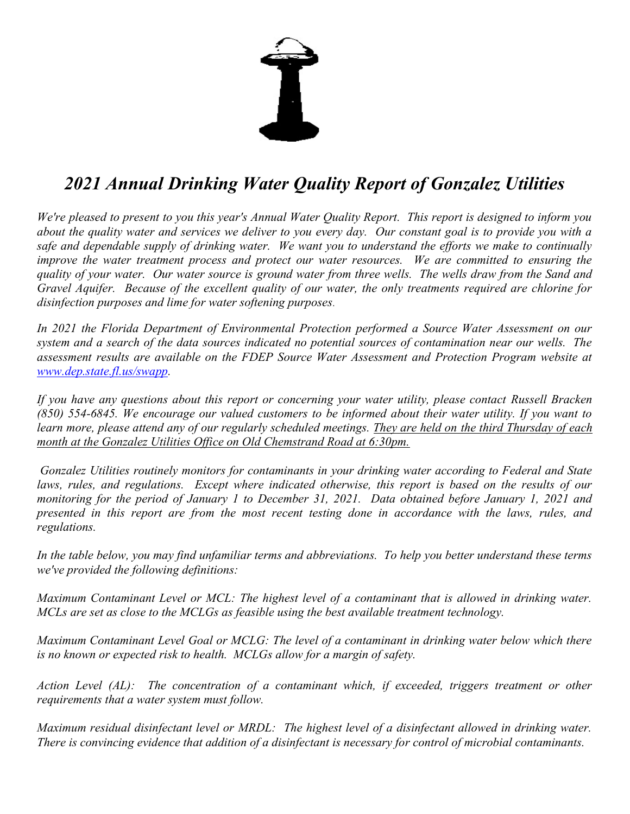

## 2021 Annual Drinking Water Quality Report of Gonzalez Utilities

We're pleased to present to you this year's Annual Water Quality Report. This report is designed to inform you about the quality water and services we deliver to you every day. Our constant goal is to provide you with a safe and dependable supply of drinking water. We want you to understand the efforts we make to continually improve the water treatment process and protect our water resources. We are committed to ensuring the quality of your water. Our water source is ground water from three wells. The wells draw from the Sand and Gravel Aquifer. Because of the excellent quality of our water, the only treatments required are chlorine for disinfection purposes and lime for water softening purposes.

In 2021 the Florida Department of Environmental Protection performed a Source Water Assessment on our system and a search of the data sources indicated no potential sources of contamination near our wells. The assessment results are available on the FDEP Source Water Assessment and Protection Program website at www.dep.state.fl.us/swapp.

If you have any questions about this report or concerning your water utility, please contact Russell Bracken (850) 554-6845. We encourage our valued customers to be informed about their water utility. If you want to learn more, please attend any of our regularly scheduled meetings. They are held on the third Thursday of each month at the Gonzalez Utilities Office on Old Chemstrand Road at 6:30pm.

Gonzalez Utilities routinely monitors for contaminants in your drinking water according to Federal and State laws, rules, and regulations. Except where indicated otherwise, this report is based on the results of our monitoring for the period of January 1 to December 31, 2021. Data obtained before January 1, 2021 and presented in this report are from the most recent testing done in accordance with the laws, rules, and regulations.

In the table below, you may find unfamiliar terms and abbreviations. To help you better understand these terms we've provided the following definitions:

Maximum Contaminant Level or MCL: The highest level of a contaminant that is allowed in drinking water. MCLs are set as close to the MCLGs as feasible using the best available treatment technology.

Maximum Contaminant Level Goal or MCLG: The level of a contaminant in drinking water below which there is no known or expected risk to health. MCLGs allow for a margin of safety.

Action Level (AL): The concentration of a contaminant which, if exceeded, triggers treatment or other requirements that a water system must follow.

Maximum residual disinfectant level or MRDL: The highest level of a disinfectant allowed in drinking water. There is convincing evidence that addition of a disinfectant is necessary for control of microbial contaminants.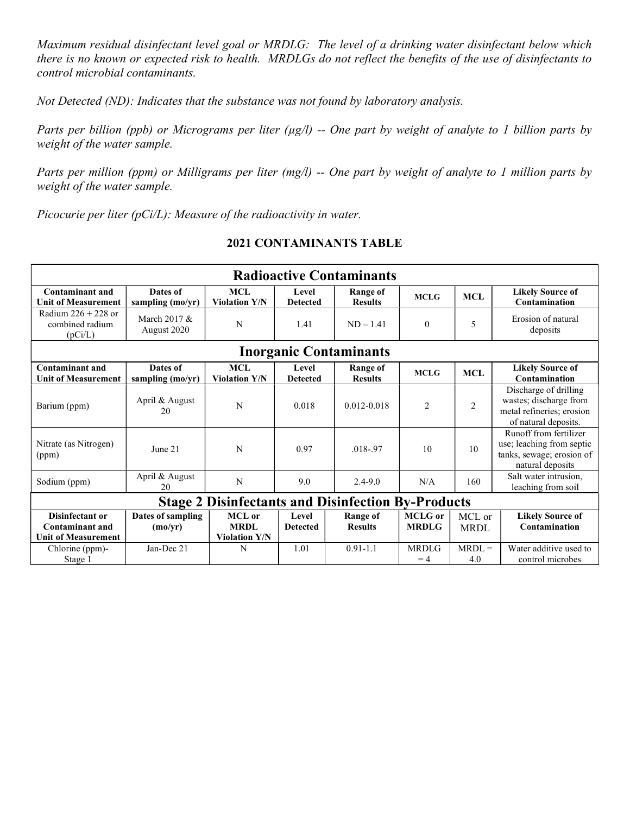Maximum residual disinfectant level goal or MRDLG: The level of a drinking water disinfectant below which there is no known or expected risk to health. MRDLGs do not reflect the benefits of the use of disinfectants to control microbial contaminants.

Not Detected (ND): Indicates that the substance was not found by laboratory analysis.

Parts per billion (ppb) or Micrograms per liter ( $\mu$ g/l) -- One part by weight of analyte to 1 billion parts by weight of the water sample.

Parts per million (ppm) or Milligrams per liter (mg/l) -- One part by weight of analyte to 1 million parts by weight of the water sample.

Picocurie per liter  $(pCi/L)$ : Measure of the radioactivity in water.

## 2021 CONTAMINANTS TABLE

| <b>Radioactive Contaminants</b>                                         |                              |                                                      |                          |                                   |                                |                       |                                                                                                      |  |
|-------------------------------------------------------------------------|------------------------------|------------------------------------------------------|--------------------------|-----------------------------------|--------------------------------|-----------------------|------------------------------------------------------------------------------------------------------|--|
| Contaminant and<br><b>Unit of Measurement</b>                           | Dates of<br>sampling (mo/yr) | <b>MCL</b><br><b>Violation Y/N</b>                   | Level<br><b>Detected</b> | Range of<br><b>Results</b>        | <b>MCLG</b>                    | <b>MCL</b>            | <b>Likely Source of</b><br>Contamination                                                             |  |
| Radium $226 + 228$ or<br>combined radium<br>(pCi/L)                     | March 2017 &<br>August 2020  | N                                                    | 1.41                     | $ND - 1.41$                       | $\mathbf{0}$                   | 5                     | Erosion of natural<br>deposits                                                                       |  |
| <b>Inorganic Contaminants</b>                                           |                              |                                                      |                          |                                   |                                |                       |                                                                                                      |  |
| <b>Contaminant and</b><br><b>Unit of Measurement</b>                    | Dates of<br>sampling (mo/yr) | <b>MCL</b><br><b>Violation Y/N</b>                   | Level<br><b>Detected</b> | <b>Range of</b><br><b>Results</b> | <b>MCLG</b>                    | MCL                   | <b>Likely Source of</b><br>Contamination                                                             |  |
| Barium (ppm)                                                            | April & August<br>20         | N                                                    | 0.018                    | $0.012 - 0.018$                   | 2                              | $\overline{c}$        | Discharge of drilling<br>wastes; discharge from<br>metal refineries; erosion<br>of natural deposits. |  |
| Nitrate (as Nitrogen)<br>(ppm)                                          | June 21                      | N                                                    | 0.97                     | $.018 - .97$                      | 10                             | 10                    | Runoff from fertilizer<br>use; leaching from septic<br>tanks, sewage; erosion of<br>natural deposits |  |
| Sodium (ppm)                                                            | April & August<br>20         | N                                                    | 9.0                      | $2.4 - 9.0$                       | N/A                            | 160                   | Salt water intrusion,<br>leaching from soil                                                          |  |
| <b>Stage 2 Disinfectants and Disinfection By-Products</b>               |                              |                                                      |                          |                                   |                                |                       |                                                                                                      |  |
| Disinfectant or<br><b>Contaminant and</b><br><b>Unit of Measurement</b> | Dates of sampling<br>(mo/yr) | <b>MCL</b> or<br><b>MRDL</b><br><b>Violation Y/N</b> | Level<br><b>Detected</b> | <b>Range of</b><br><b>Results</b> | <b>MCLG</b> or<br><b>MRDLG</b> | MCL or<br><b>MRDL</b> | <b>Likely Source of</b><br>Contamination                                                             |  |
| Chlorine (ppm)-<br>Stage 1                                              | Jan-Dec 21                   | N                                                    | 1.01                     | $0.91 - 1.1$                      | <b>MRDLG</b><br>$=4$           | $MRDL =$<br>4.0       | Water additive used to<br>control microbes                                                           |  |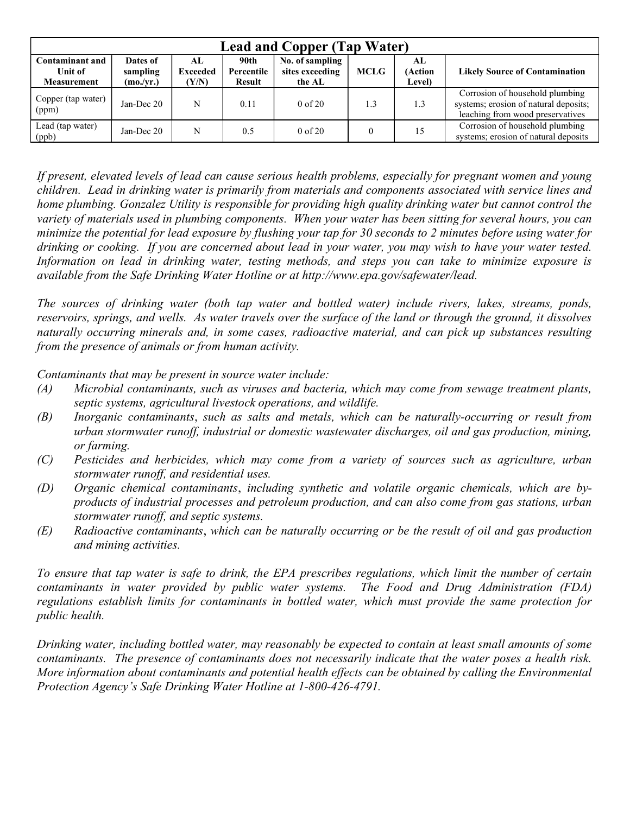| <b>Lead and Copper (Tap Water)</b>                      |                                   |                                 |                              |                                              |             |                         |                                                                                                              |  |
|---------------------------------------------------------|-----------------------------------|---------------------------------|------------------------------|----------------------------------------------|-------------|-------------------------|--------------------------------------------------------------------------------------------------------------|--|
| <b>Contaminant and</b><br>Unit of<br><b>Measurement</b> | Dates of<br>sampling<br>(mo./yr.) | AL.<br><b>Exceeded</b><br>(Y/N) | 90th<br>Percentile<br>Result | No. of sampling<br>sites exceeding<br>the AL | <b>MCLG</b> | AL<br>(Action<br>Level) | <b>Likely Source of Contamination</b>                                                                        |  |
| Copper (tap water)<br>(ppm)                             | Jan-Dec $20$                      | N                               | 0.11                         | $0 \text{ of } 20$                           | 1.3         | 1.3                     | Corrosion of household plumbing<br>systems; erosion of natural deposits;<br>leaching from wood preservatives |  |
| Lead (tap water)<br>(ppb)                               | Jan-Dec 20                        | N                               | 0.5                          | $0$ of $20$                                  |             | 15                      | Corrosion of household plumbing<br>systems; erosion of natural deposits                                      |  |

If present, elevated levels of lead can cause serious health problems, especially for pregnant women and young children. Lead in drinking water is primarily from materials and components associated with service lines and home plumbing. Gonzalez Utility is responsible for providing high quality drinking water but cannot control the variety of materials used in plumbing components. When your water has been sitting for several hours, you can minimize the potential for lead exposure by flushing your tap for 30 seconds to 2 minutes before using water for drinking or cooking. If you are concerned about lead in your water, you may wish to have your water tested. Information on lead in drinking water, testing methods, and steps you can take to minimize exposure is available from the Safe Drinking Water Hotline or at http://www.epa.gov/safewater/lead.

The sources of drinking water (both tap water and bottled water) include rivers, lakes, streams, ponds, reservoirs, springs, and wells. As water travels over the surface of the land or through the ground, it dissolves naturally occurring minerals and, in some cases, radioactive material, and can pick up substances resulting from the presence of animals or from human activity.

Contaminants that may be present in source water include:

- (A) Microbial contaminants, such as viruses and bacteria, which may come from sewage treatment plants, septic systems, agricultural livestock operations, and wildlife.
- (B) Inorganic contaminants, such as salts and metals, which can be naturally-occurring or result from urban stormwater runoff, industrial or domestic wastewater discharges, oil and gas production, mining, or farming.
- (C) Pesticides and herbicides, which may come from a variety of sources such as agriculture, urban stormwater runoff, and residential uses.
- (D) Organic chemical contaminants, including synthetic and volatile organic chemicals, which are byproducts of industrial processes and petroleum production, and can also come from gas stations, urban stormwater runoff, and septic systems.
- (E) Radioactive contaminants, which can be naturally occurring or be the result of oil and gas production and mining activities.

To ensure that tap water is safe to drink, the EPA prescribes regulations, which limit the number of certain contaminants in water provided by public water systems. The Food and Drug Administration (FDA) regulations establish limits for contaminants in bottled water, which must provide the same protection for public health.

Drinking water, including bottled water, may reasonably be expected to contain at least small amounts of some contaminants. The presence of contaminants does not necessarily indicate that the water poses a health risk. More information about contaminants and potential health effects can be obtained by calling the Environmental Protection Agency's Safe Drinking Water Hotline at 1-800-426-4791.